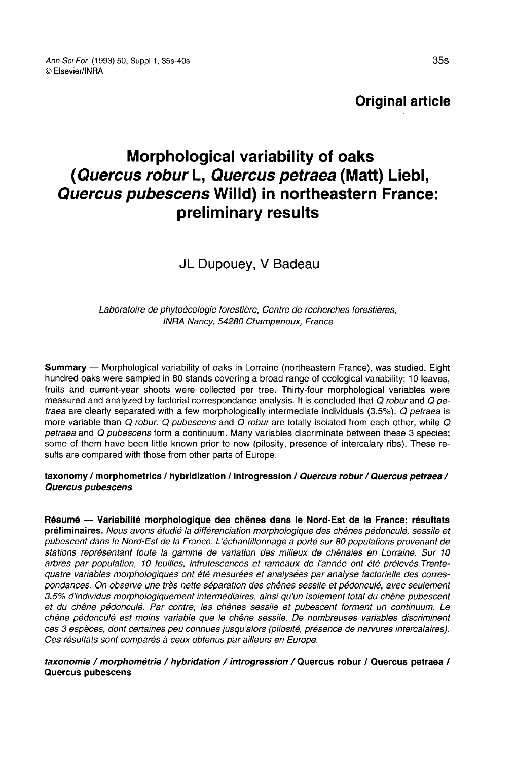Ann Sci For (1993) 50, Suppl 1, 35s-40s © Elsevier/INRA

Original article

# Morphological variability of oaks (Quercus robur L, Quercus petraea (Matt) Liebl, Quercus pubescens Willd) in northeastern France: preliminary results

JL Dupouey, V Badeau

Laboratoire de phytoécologie forestière, Centre de recherches forestières, INRA Nancy, 54280 Champenoux, France

Summary — Morphological variability of oaks in Lorraine (northeastern France), was studied. Eight hundred oaks were sampled in 80 stands covering a broad range of ecological variability; 10 leaves, fruits and current-year shoots were collected per tree. Thirty-four morphological variables were measured and analyzed by factorial correspondance analysis. It is concluded that Q robur and Q petraea are clearly separated with a few morphologically intermediate individuals (3.5%). Q petraea is more variable than  $Q$  robur.  $Q$  pubescens and  $\overline{Q}$  robur are totally isolated from each other, while  $Q$  petraea and  $Q$  pubescens form a continuum. Many variables discriminate between these 3 species; some of them have been little known prior to now (pilosity, presence of intercalary ribs). These results are compared with those from other parts of Europe.

#### taxonomy / morphometrics / hybridization / introgression / Quercus robur / Quercus petraea / Quercus pubescens

Résumé — Variabilité morphologique des chênes dans le Nord-Est de la France; résultats préliminaires. Nous avons étudié la différenciation morphologique des chênes pédonculé, sessile et pubescent dans le Nord-Est de la France. L'échantillonnage a porté sur 80 populations provenant de stations représentant toute la gamme de variation des milieux de chênaies en Lorraine. Sur 10 arbres par population, 10 feuilles, infruiescences et rameaux de l'année ont été prélevés. Trentequatre variables morphologiques ont été mesurées et analysées par analyse factorielle des correspondances. On observe une très nette séparation des chênes sessile et pédonculé, avec seulement 3,5% d'individus morphologiquement intermédiaires, ainsi qu'un isolement total du chêne pubescent et du chêne pédonculé. Par contre, les chênes sessile et pubescent forment un continuum. Le chêne pédonculé est moins variable que le chêne sessile. De nombreuses variables discriminent ces 3 espèces, dont certaines peu connues jusqu'alors (pilosité, présence de nervures intercalaires). Ces résultats sont comparés à ceux obtenus par ailleurs en Europe.

taxonomie / morphométrie / hybridation / introgression / Quercus robur / Quercus petraea / Quercus pubescens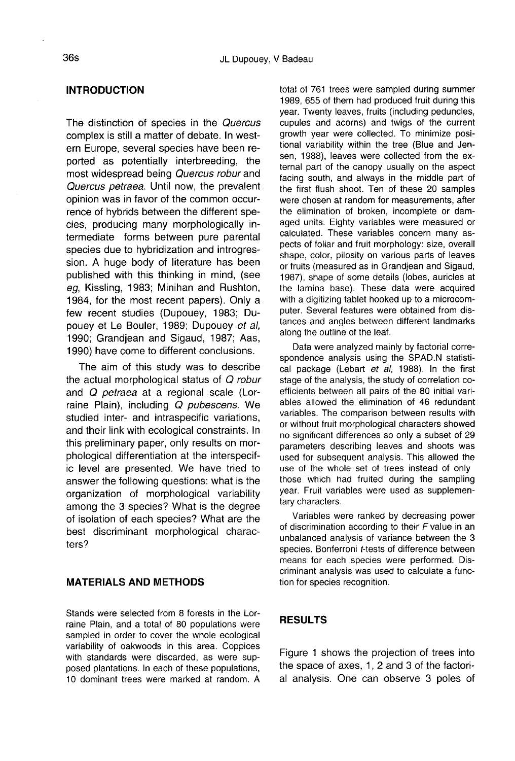#### INTRODUCTION

The distinction of species in the Quercus complex is still a matter of debate. In western Europe, several species have been reported as potentially interbreeding, the most widespread being Quercus robur and Quercus petraea. Until now, the prevalent opinion was in favor of the common occurrence of hybrids between the different species, producing many morphologically intermediate forms between pure parental species due to hybridization and introgression. A huge body of literature has been published with this thinking in mind, (see eg, Kissling, 1983; Minihan and Rushton, 1984, for the most recent papers). Only a few recent studies (Dupouey, 1983; Dupouey et Le Bouler, 1989; Dupouey et al, 1990; Grandjean and Sigaud, 1987; Aas, 1990) have come to different conclusions.

The aim of this study was to describe the actual morphological status of Q robur and Q petraea at a regional scale (Lorraine Plain), including Q pubescens. We studied inter- and intraspecific variations, and their link with ecological constraints. In this preliminary paper, only results on morphological differentiation at the interspecific level are presented. We have tried to answer the following questions: what is the organization of morphological variability among the 3 species? What is the degree of isolation of each species? What are the best discriminant morphological characters?

### MATERIALS AND METHODS

Stands were selected from 8 forests in the Lorraine Plain, and a total of 80 populations were sampled in order to cover the whole ecological variability of oakwoods in this area. Coppices with standards were discarded, as were sup-<br>posed plantations. In each of these populations, 10 dominant trees were marked at random. A

total of 761 trees were sampled during summer 1989, 655 of them had produced fruit during this year. Twenty leaves, fruits (including peduncles, cupules and acorns) and twigs of the current growth year were collected. To minimize positional variability within the tree (Blue and Jensen, 1988), leaves were collected from the external part of the canopy usually on the aspect facing south, and always in the middle part of the first flush shoot. Ten of these 20 samples were chosen at random for measurements, after the elimination of broken, incomplete or damaged units. Eighty variables were measured or calculated. These variables concern many aspects of foliar and fruit morphology: size, overall shape, color, pilosity on various parts of leaves or fruits (measured as in Grandjean and Sigaud, 1987), shape of some details (lobes, auricles at the lamina base). These data were acquired with a digitizing tablet hooked up to a microcomputer. Several features were obtained from distances and angles between different landmarks along the outline of the leaf.

Data were analyzed mainly by factorial correspondence analysis using the SPAD.N statistical package (Lebart et al, 1988). In the first stage of the analysis, the study of correlation coefficients between all pairs of the 80 initial variables allowed the elimination of 46 redundant variables. The comparison between results with or without fruit morphological characters showed no significant differences so only a subset of 29 parameters describing leaves and shoots was used for subsequent analysis. This allowed the use of the whole set of trees instead of only those which had fruited during the sampling year. Fruit variables were used as supplementary characters.

Variables were ranked by decreasing power of discrimination according to their  $F$  value in an unbalanced analysis of variance between the 3 species. Bonferroni t-tests of difference between means for each species were performed. Discriminant analysis was used to calculate a function for species recognition.

## **RESULTS**

Figure 1 shows the projection of trees into the space of axes, 1, 2 and 3 of the factorial analysis. One can observe 3 poles of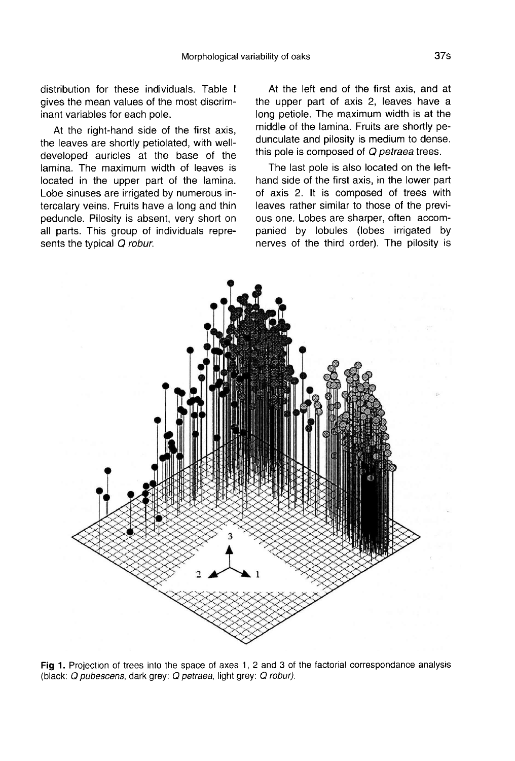distribution for these individuals. Table I gives the mean values of the most discriminant variables for each pole.

At the right-hand side of the first axis, the leaves are shortly petiolated, with welldeveloped auricles at the base of the lamina. The maximum width of leaves is located in the upper part of the lamina. Lobe sinuses are irrigated by numerous intercalary veins. Fruits have a long and thin peduncle. Pilosity is absent, very short on all parts. This group of individuals represents the typical Q robur.

At the left end of the first axis, and at the upper part of axis 2, leaves have a long petiole. The maximum width is at the middle of the lamina. Fruits are shortly pedunculate and pilosity is medium to dense. this pole is composed of Q petraea trees.

The last pole is also located on the lefthand side of the first axis, in the lower part of axis 2. It is composed of trees with leaves rather similar to those of the previ ous one. Lobes are sharper, often accompanied by lobules (lobes irrigated by nerves of the third order). The pilosity is



Fig 1. Projection of trees into the space of axes 1, 2 and 3 of the factorial correspondance analysis (black: Q pubescens, dark grey: Q petraea, light grey: Q robur).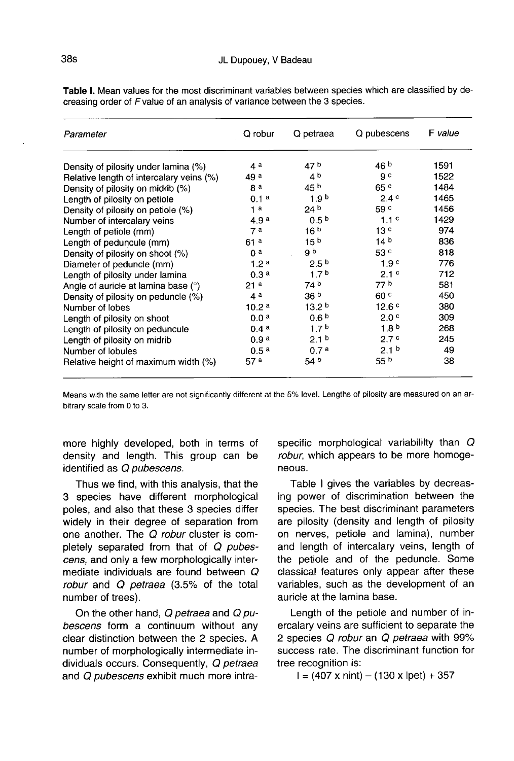| Parameter                                | Q robur           | Q petraea         | Q pubescens       | F value |
|------------------------------------------|-------------------|-------------------|-------------------|---------|
| Density of pilosity under lamina (%)     | 4 <sup>a</sup>    | 47 <sup>b</sup>   | 46 <sup>b</sup>   | 1591    |
| Relative length of intercalary veins (%) | 49 <sup>a</sup>   | 4 <sup>b</sup>    | g c               | 1522    |
| Density of pilosity on midrib (%)        | g a               | 45 <sup>b</sup>   | 65c               | 1484    |
| Length of pilosity on petiole            | 0.1 <sup>a</sup>  | 1.9 <sup>b</sup>  | 2.4c              | 1465    |
| Density of pilosity on petiole (%)       | 1 <sup>a</sup>    | 24 <sup>b</sup>   | 59c               | 1456    |
| Number of intercalary veins              | 4.9a              | 0.5 <sup>b</sup>  | 1.1 <sup>c</sup>  | 1429    |
| Length of petiole (mm)                   | 7a                | 16 <sup>b</sup>   | 13 <sup>c</sup>   | 974     |
| Length of peduncule (mm)                 | 61a               | 15 <sup>b</sup>   | 14 <sup>b</sup>   | 836     |
| Density of pilosity on shoot (%)         | 0 <sup>a</sup>    | g b               | 53 <sup>c</sup>   | 818     |
| Diameter of peduncle (mm)                | 1.2 <sup>a</sup>  | 2.5 <sup>b</sup>  | 1.9 <sup>c</sup>  | 776     |
| Length of pilosity under lamina          | 0.3 <sup>a</sup>  | 1.7 <sup>b</sup>  | 2.1 <sup>c</sup>  | 712     |
| Angle of auricle at lamina base (°)      | 21 <sup>a</sup>   | 74 <sup>b</sup>   | 77 b              | 581     |
| Density of pilosity on peduncle (%)      | 4a                | 36 <sup>b</sup>   | 60 <sup>c</sup>   | 450     |
| Number of lobes                          | 10.2 <sup>a</sup> | 13.2 <sup>b</sup> | 12.6 <sup>c</sup> | 380     |
| Length of pilosity on shoot              | 0.0 <sup>a</sup>  | 0.6 <sup>b</sup>  | 2.0 <sup>c</sup>  | 309     |
| Length of pilosity on peduncule          | 0.4a              | 1.7 <sup>b</sup>  | 1.8 <sup>b</sup>  | 268     |
| Length of pilosity on midrib             | 0.9 <sup>a</sup>  | 2.1 <sup>b</sup>  | 2.7c              | 245     |
| Number of lobules                        | 0.5 <sup>a</sup>  | 0.7 <sup>a</sup>  | 2.1 <sup>b</sup>  | 49      |
| Relative height of maximum width (%)     | 57 <sup>a</sup>   | 54 <sup>b</sup>   | 55 <sup>b</sup>   | 38      |

Table I. Mean values for the most discriminant variables between species which are classified by decreasing order of F value of an analysis of variance between the 3 species.

Means with the same letter are not significantly different at the 5% level. Lengths of pilosity are measured on an arbitrary scale from 0 to 3.

more highly developed, both in terms of density and length. This group can be identified as Q pubescens.

Thus we find, with this analysis, that the 3 species have different morphological poles, and also that these 3 species differ widely in their degree of separation from one another. The Q robur cluster is completely separated from that of Q pubescens, and only a few morphologically intermediate individuals are found between Q robur and Q petraea (3.5% of the total number of trees).

On the other hand, Q petraea and Q pubescens form a continuum without any clear distinction between the 2 species. A number of morphologically intermediate individuals occurs. Consequently, Q petraea and Q pubescens exhibit much more intraspecific morphological variabililty than  $Q$ robur, which appears to be more homoge neous.

Table I gives the variables by decreasing power of discrimination between the species. The best discriminant parameters are pilosity (density and length of pilosity on nerves, petiole and lamina), number and length of intercalary veins, length of the petiole and of the peduncle. Some classical features only appear after these variables, such as the development of an auricle at the lamina base.

Length of the petiole and number of inercalary veins are sufficient to separate the 2 species Q robur an Q petraea with 99% success rate. The discriminant function for tree recognition is:<br> $I = (407 \times \text{nint}) - (130 \times \text{lpet}) + 357$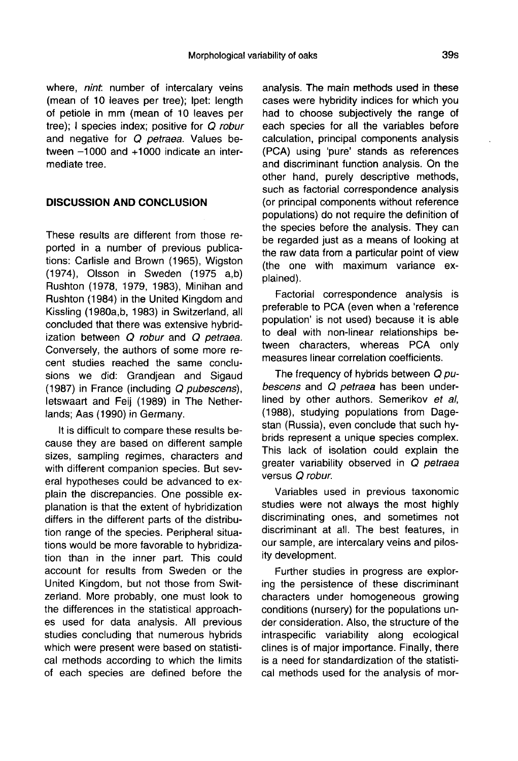where, nint, number of intercalary veins (mean of 10 leaves per tree); lpet: length of petiole in mm (mean of 10 leaves per tree); I species index; positive for Q robur and negative for Q petraea. Values between -1000 and +1000 indicate an intermediate tree.

## DISCUSSION AND CONCLUSION

These results are different from those reported in a number of previous publications: Carlisle and Brown (1965), Wigston (1974), Olsson in Sweden (1975 a,b) Rushton (1978, 1979, 1983), Minihan and Rushton (1984) in the United Kingdom and Kissling (1980a,b, 1983) in Switzerland, all concluded that there was extensive hybridization between  $Q$  robur and  $Q$  petraea. Conversely, the authors of some more recent studies reached the same conclusions we did: Grandiean and Sigaud (1987) in France (including Q pubescens), letswaart and Feij (1989) in The Netherlands; Aas (1990) in Germany.

It is difficult to compare these results because they are based on different sample sizes, sampling regimes, characters and with different companion species. But several hypotheses could be advanced to explain the discrepancies. One possible explanation is that the extent of hybridization differs in the different parts of the distribution range of the species. Peripheral situations would be more favorable to hybridization than in the inner part. This could account for results from Sweden or the United Kingdom, but not those from Switzerland. More probably, one must look to the differences in the statistical approach es used for data analysis. All previous studies concluding that numerous hybrids which were present were based on statistical methods according to which the limits of each species are defined before the analysis. The main methods used in these cases were hybridity indices for which you had to choose subjectively the range of each species for all the variables before calculation, principal components analysis (PCA) using 'pure' stands as references and discriminant function analysis. On the other hand, purely descriptive methods, such as factorial correspondence analysis (or principal components without reference populations) do not require the definition of the species before the analysis. They can be regarded just as a means of looking at the raw data from a particular point of view (the one with maximum variance explained).

Factorial correspondence analysis is preferable to PCA (even when a 'reference population' is not used) because it is able to deal with non-linear relationships between characters, whereas PCA only measures linear correlation coefficients.

The frequency of hybrids between Q pubescens and Q petraea has been underlined by other authors. Semerikov et al, (1988), studying populations from Dagestan (Russia), even conclude that such hybrids represent a unique species complex. This lack of isolation could explain the greater variability observed in Q petraea<br>versus Q robur.

Variables used in previous taxonomic studies were not always the most highly discriminating ones, and sometimes not discriminant at all. The best features, in our sample, are intercalary veins and pilosity development.

Further studies in progress are exploring the persistence of these discriminant characters under homogeneous growing conditions (nursery) for the populations under consideration. Also, the structure of the intraspecific variability along ecological clines is of major importance. Finally, there is a need for standardization of the statistical methods used for the analysis of mor